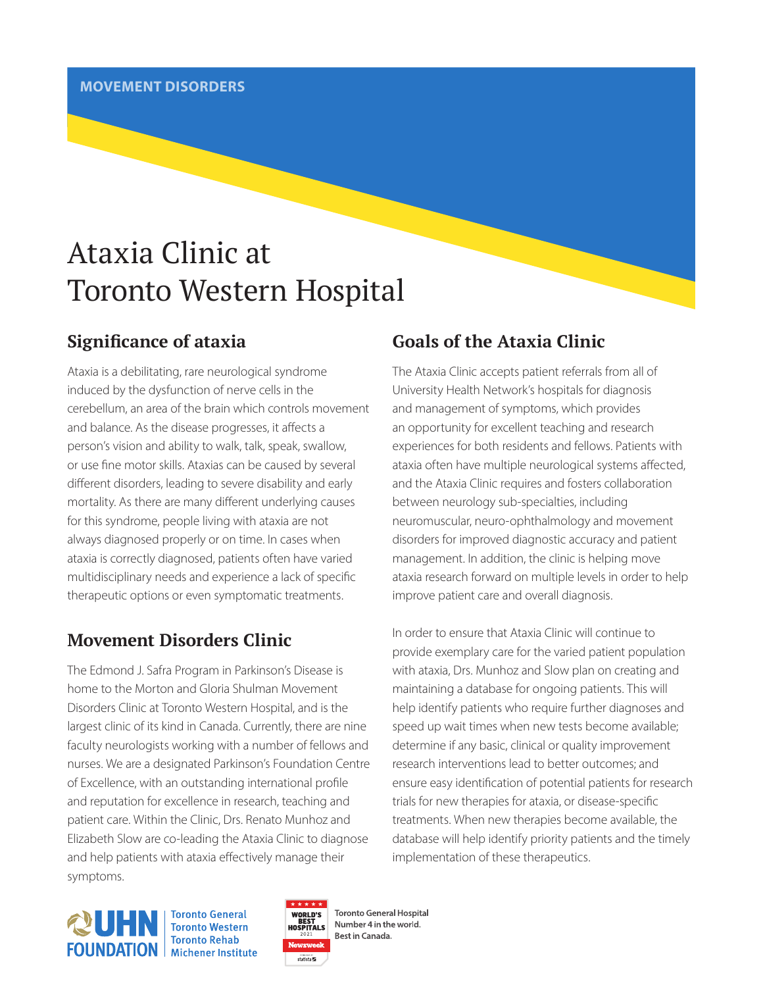# Ataxia Clinic at Toronto Western Hospital

# **Significance of ataxia**

Ataxia is a debilitating, rare neurological syndrome induced by the dysfunction of nerve cells in the cerebellum, an area of the brain which controls movement and balance. As the disease progresses, it affects a person's vision and ability to walk, talk, speak, swallow, or use fine motor skills. Ataxias can be caused by several different disorders, leading to severe disability and early mortality. As there are many different underlying causes for this syndrome, people living with ataxia are not always diagnosed properly or on time. In cases when ataxia is correctly diagnosed, patients often have varied multidisciplinary needs and experience a lack of specific therapeutic options or even symptomatic treatments.

# **Movement Disorders Clinic**

The Edmond J. Safra Program in Parkinson's Disease is home to the Morton and Gloria Shulman Movement Disorders Clinic at Toronto Western Hospital, and is the largest clinic of its kind in Canada. Currently, there are nine faculty neurologists working with a number of fellows and nurses. We are a designated Parkinson's Foundation Centre of Excellence, with an outstanding international profile and reputation for excellence in research, teaching and patient care. Within the Clinic, Drs. Renato Munhoz and Elizabeth Slow are co-leading the Ataxia Clinic to diagnose and help patients with ataxia effectively manage their symptoms.

# **Goals of the Ataxia Clinic**

The Ataxia Clinic accepts patient referrals from all of University Health Network's hospitals for diagnosis and management of symptoms, which provides an opportunity for excellent teaching and research experiences for both residents and fellows. Patients with ataxia often have multiple neurological systems affected, and the Ataxia Clinic requires and fosters collaboration between neurology sub-specialties, including neuromuscular, neuro-ophthalmology and movement disorders for improved diagnostic accuracy and patient management. In addition, the clinic is helping move ataxia research forward on multiple levels in order to help improve patient care and overall diagnosis.

In order to ensure that Ataxia Clinic will continue to provide exemplary care for the varied patient population with ataxia, Drs. Munhoz and Slow plan on creating and maintaining a database for ongoing patients. This will help identify patients who require further diagnoses and speed up wait times when new tests become available; determine if any basic, clinical or quality improvement research interventions lead to better outcomes; and ensure easy identification of potential patients for research trials for new therapies for ataxia, or disease-specific treatments. When new therapies become available, the database will help identify priority patients and the timely implementation of these therapeutics.



**Toronto General Toronto Western Toronto Rehab** 



**Toronto General Hospital** Number 4 in the world. Best in Canada.